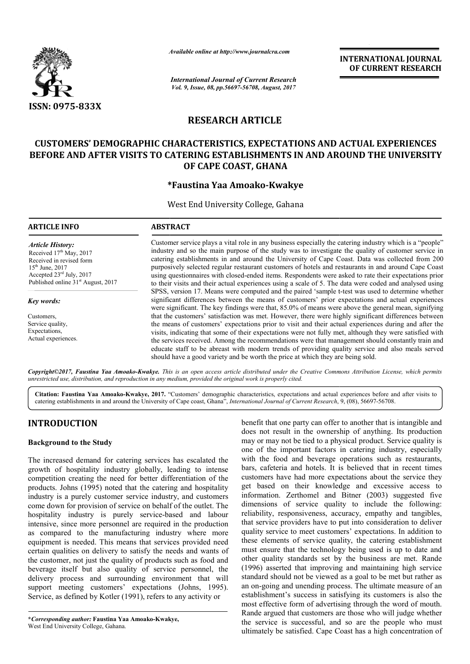

*Available online at http://www.journal http://www.journalcra.com*

*International Journal of Current Research Vol. 9, Issue, 08, pp.56697-56708, August, 2017* **INTERNATIONAL JOURNAL OF CURRENT RESEARCH** 

# **RESEARCH ARTICLE**

# **CUSTOMERS' DEMOGRAPHIC CHARACTERISTICS, EXPECTATIONS AND ACTUAL EXPERIENCES BEFORE AND AFTER VISITS TO CATERING ESTABLISHMENTS IN AND AROUND THE UNIVERSITY BEFORE AND AFTER TO CATERING ESTABLISHMENTS OF CAPE COAST, GHANA**

# **\* \*Faustina Yaa Amoako-Kwakye**

West End University College, Gahana

| <b>ARTICLE INFO</b>                                                                        | <b>ABSTRACT</b>                                                                                                                                                                                                                                                                                                    |
|--------------------------------------------------------------------------------------------|--------------------------------------------------------------------------------------------------------------------------------------------------------------------------------------------------------------------------------------------------------------------------------------------------------------------|
| <b>Article History:</b><br>Received 17 <sup>th</sup> May, 2017<br>Received in revised form | Customer service plays a vital role in any business especially the catering industry which is a "people"<br>industry and so the main purpose of the study was to investigate the quality of customer service in<br>catering establishments in and around the University of Cape Coast. Data was collected from 200 |
| $15th$ June, 2017<br>Accepted $23^{\text{rd}}$ July, 2017                                  | purposively selected regular restaurant customers of hotels and restaurants in and around Cape Coast<br>using questionnaires with closed-ended items. Respondents were asked to rate their expectations prior                                                                                                      |
| Published online 31 <sup>st</sup> August, 2017                                             | to their visits and their actual experiences using a scale of 5. The data were coded and analysed using                                                                                                                                                                                                            |
| Key words:                                                                                 | SPSS, version 17. Means were computed and the paired 'sample t-test was used to determine whether<br>significant differences between the means of customers' prior expectations and actual experiences<br>were significant. The key findings were that, 85.0% of means were above the general mean, signifying     |
| Customers.                                                                                 | that the customers' satisfaction was met. However, there were highly significant differences between                                                                                                                                                                                                               |
| Service quality,                                                                           | the means of customers' expectations prior to visit and their actual experiences during and after the                                                                                                                                                                                                              |
| Expectations,                                                                              | visits, indicating that some of their expectations were not fully met, although they were satisfied with                                                                                                                                                                                                           |
| Actual experiences.                                                                        | the services received. Among the recommendations were that management should constantly train and<br>educate staff to be abreast with modern trends of providing quality service and also meals served<br>should have a good variety and be worth the price at which they are being sold.                          |

*Copyright©2017, Faustina Yaa Amoako-Kwakye. This is an open access article distributed under the Creative Commons Att is the Creative Attribution License, which permits unrestricted use, distribution, and reproduction in any medium, provided the original work is properly cited.*

**Citation: Faustina Yaa Amoako-Kwakye, 2017.** " "Customers' demographic characteristics, expectations and actual experiences before and after visits to Citation: Faustina Yaa Amoako-Kwakye, 2017. "Customers' demographic characteristics, expectations and actual experiences before and after visits to catering establishments in and around the University of Cape coast, Ghana"

# **INTRODUCTION**

# **Background to the Study**

The increased demand for catering services has escalated the growth of hospitality industry globally, leading to intense competition creating the need for better differentiation of the products. Johns (1995) noted that the catering and hospitality industry is a purely customer service industry, and customers come down for provision of service on behalf of the outlet. The hospitality industry is purely service-based and labour intensive, since more personnel are required in the production as compared to the manufacturing industry where more equipment is needed. This means that services provided need certain qualities on delivery to satisfy the needs and wants of the customer, not just the quality of products such as food and beverage itself but also quality of service personnel, the delivery process and surrounding environment that will support meeting customers' expectations (Johns, 1995). Service, as defined by Kotler (1991), refers to any activity or ce-based and labour<br>uired in the production<br>industry where more

**\****Corresponding author:* **Faustina Yaa Amoako-Kwakye,** West End University College, Gahana.

benefit that one party can offer to another that is intangible and<br>
does not result in the ownership of anything. Its production<br>
may or may not be tied to a physical product. Service quality is<br>
vives has secalated the wi does not result in the ownership of anything. Its production may or may not be tied to a physical product. Service quality is one of the important factors in catering industry, especially with the food and beverage operations such as restaurants, bars, cafeteria and hotels. It is believed that in recent times customers have had more expectations about the service they get based on their knowledge and excessive access to information. Zerthomel and Bitner (2003) suggested five dimensions of service quality to include the following: reliability, responsiveness, accuracy, empathy and tangibles, that service providers have to put into consideration to deliver quality service to meet customers' expectations. In addition to these elements of service quality, the catering establishment must ensure that the technology being used is up to date and other quality standards set by the business are met. (1996) asserted that improving and maintaining high service standard should not be viewed as a goal to be met but rather as an on-going and unending process. The ultimate measure of an establishment's success in satisfying its customers is also the most effective form of advertising through the word of mouth. Rande argued that customers are those who will judge whether the service is successful, and so are the people who must ultimately be satisfied. Cape Coast has a high concentration of it that one party can offer to another that is intangible and<br>not result in the ownership of anything. Its production<br>or may not be tied to a physical product. Service quality is<br>f the important factors in catering industr of service quality to include the following:<br>esponsiveness, accuracy, empathy and tangibles,<br>providers have to put into consideration to deliver<br>ice to meet customers' expectations. In addition to<br>this of service quality, **INTERNATIONAL JOURNAL TOONAL FORE AND COURRENT RESEARCH CHARGES CONSULT AND ACTUAL EXPERIENCES SPACE THIS ALL AND AROUND THE UNIVERSITY CLEAR THIS ARROLLED INTO A SUBSEMPAPE INTO A RATHE AND AROUND THE UNIVERSITY CHARGES**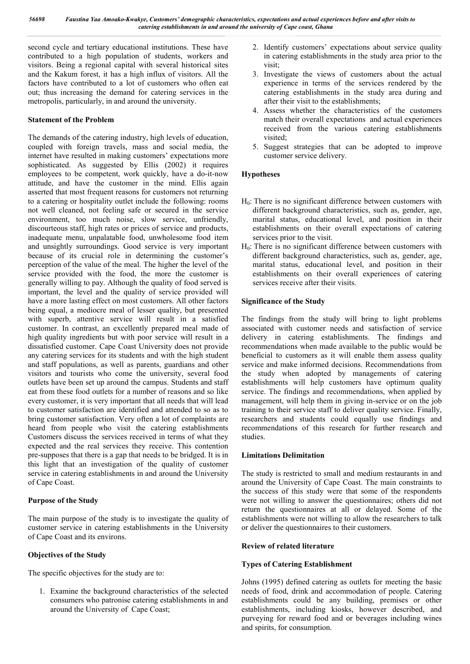second cycle and tertiary educational institutions. These have contributed to a high population of students, workers and visitors. Being a regional capital with several historical sites and the Kakum forest, it has a high influx of visitors. All the factors have contributed to a lot of customers who often eat out; thus increasing the demand for catering services in the metropolis, particularly, in and around the university.

# **Statement of the Problem**

The demands of the catering industry, high levels of education, coupled with foreign travels, mass and social media, the internet have resulted in making customers' expectations more sophisticated. As suggested by Ellis (2002) it requires employees to be competent, work quickly, have a do-it-now attitude, and have the customer in the mind. Ellis again asserted that most frequent reasons for customers not returning to a catering or hospitality outlet include the following: rooms not well cleaned, not feeling safe or secured in the service environment, too much noise, slow service, unfriendly, discourteous staff, high rates or prices of service and products, inadequate menu, unpalatable food, unwholesome food item and unsightly surroundings. Good service is very important because of its crucial role in determining the customer's perception of the value of the meal. The higher the level of the service provided with the food, the more the customer is generally willing to pay. Although the quality of food served is important, the level and the quality of service provided will have a more lasting effect on most customers. All other factors being equal, a mediocre meal of lesser quality, but presented with superb, attentive service will result in a satisfied customer. In contrast, an excellently prepared meal made of high quality ingredients but with poor service will result in a dissatisfied customer. Cape Coast University does not provide any catering services for its students and with the high student and staff populations, as well as parents, guardians and other visitors and tourists who come the university, several food outlets have been set up around the campus. Students and staff eat from these food outlets for a number of reasons and so like every customer, it is very important that all needs that will lead to customer satisfaction are identified and attended to so as to bring customer satisfaction. Very often a lot of complaints are heard from people who visit the catering establishments Customers discuss the services received in terms of what they expected and the real services they receive. This contention pre-supposes that there is a gap that needs to be bridged. It is in this light that an investigation of the quality of customer service in catering establishments in and around the University of Cape Coast.

# **Purpose of the Study**

The main purpose of the study is to investigate the quality of customer service in catering establishments in the University of Cape Coast and its environs.

# **Objectives of the Study**

The specific objectives for the study are to:

1. Examine the background characteristics of the selected consumers who patronise catering establishments in and around the University of Cape Coast;

- 2. Identify customers' expectations about service quality in catering establishments in the study area prior to the visit;
- 3. Investigate the views of customers about the actual experience in terms of the services rendered by the catering establishments in the study area during and after their visit to the establishments;
- 4. Assess whether the characteristics of the customers match their overall expectations and actual experiences received from the various catering establishments visited;
- 5. Suggest strategies that can be adopted to improve customer service delivery.

# **Hypotheses**

- $H<sub>0</sub>$ : There is no significant difference between customers with different background characteristics, such as, gender, age, marital status, educational level, and position in their establishments on their overall expectations of catering services prior to the visit.
- $H<sub>0</sub>$ : There is no significant difference between customers with different background characteristics, such as, gender, age, marital status, educational level, and position in their establishments on their overall experiences of catering services receive after their visits.

# **Significance of the Study**

The findings from the study will bring to light problems associated with customer needs and satisfaction of service delivery in catering establishments. The findings and recommendations when made available to the public would be beneficial to customers as it will enable them assess quality service and make informed decisions. Recommendations from the study when adopted by managements of catering establishments will help customers have optimum quality service. The findings and recommendations, when applied by management, will help them in giving in-service or on the job training to their service staff to deliver quality service. Finally, researchers and students could equally use findings and recommendations of this research for further research and studies.

# **Limitations Delimitation**

The study is restricted to small and medium restaurants in and around the University of Cape Coast. The main constraints to the success of this study were that some of the respondents were not willing to answer the questionnaires; others did not return the questionnaires at all or delayed. Some of the establishments were not willing to allow the researchers to talk or deliver the questionnaires to their customers.

# **Review of related literature**

# **Types of Catering Establishment**

Johns (1995) defined catering as outlets for meeting the basic needs of food, drink and accommodation of people. Catering establishments could be any building, premises or other establishments, including kiosks, however described, and purveying for reward food and or beverages including wines and spirits, for consumption.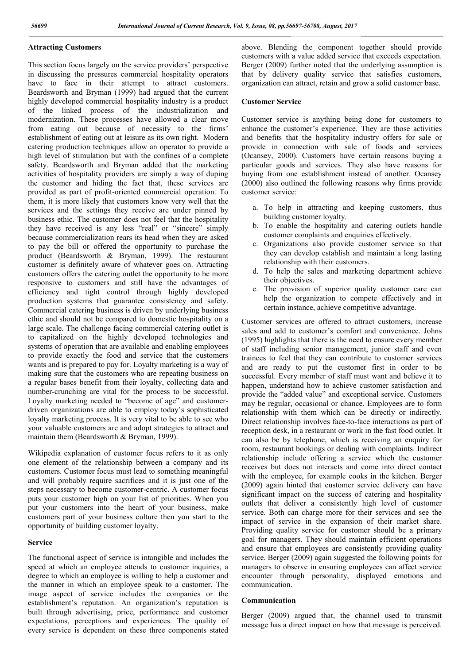# **Attracting Customers**

This section focus largely on the service providers' perspective in discussing the pressures commercial hospitality operators have to face in their attempt to attract customers. Beardsworth and Bryman (1999) had argued that the current highly developed commercial hospitality industry is a product of the linked process of the industrialization and modernization. These processes have allowed a clear move from eating out because of necessity to the firms' establishment of eating out at leisure as its own right. Modern catering production techniques allow an operator to provide a high level of stimulation but with the confines of a complete safety. Beardsworth and Bryman added that the marketing activities of hospitality providers are simply a way of duping the customer and hiding the fact that, these services are provided as part of profit-oriented commercial operation. To them, it is more likely that customers know very well that the services and the settings they receive are under pinned by business ethic. The customer does not feel that the hospitality they have received is any less "real" or "sincere" simply because commercialization rears its head when they are asked to pay the bill or offered the opportunity to purchase the product (Beardsworth & Bryman, 1999). The restaurant customer is definitely aware of whatever goes on. Attracting customers offers the catering outlet the opportunity to be more responsive to customers and still have the advantages of efficiency and tight control through highly developed production systems that guarantee consistency and safety. Commercial catering business is driven by underlying business ethic and should not be compared to domestic hospitality on a large scale. The challenge facing commercial catering outlet is to capitalized on the highly developed technologies and systems of operation that are available and enabling employees to provide exactly the food and service that the customers wants and is prepared to pay for. Loyalty marketing is a way of making sure that the customers who are repeating business on a regular bases benefit from their loyalty, collecting data and number-crunching are vital for the process to be successful. Loyalty marketing needed to "become of age" and customerdriven organizations are able to employ today's sophisticated loyalty marketing process. It is very vital to be able to see who your valuable customers are and adopt strategies to attract and maintain them (Beardsworth & Bryman, 1999).

Wikipedia explanation of customer focus refers to it as only one element of the relationship between a company and its customers. Customer focus must lead to something meaningful and will probably require sacrifices and it is just one of the steps necessary to become customer-centric. A customer focus puts your customer high on your list of priorities. When you put your customers into the heart of your business, make customers part of your business culture then you start to the opportunity of building customer loyalty.

#### **Service**

The functional aspect of service is intangible and includes the speed at which an employee attends to customer inquiries, a degree to which an employee is willing to help a customer and the manner in which an employee speak to a customer. The image aspect of service includes the companies or the establishment's reputation. An organization's reputation is built through advertising, price, performance and customer expectations, perceptions and experiences. The quality of every service is dependent on these three components stated above. Blending the component together should provide customers with a value added service that exceeds expectation. Berger (2009) further noted that the underlying assumption is that by delivery quality service that satisfies customers, organization can attract, retain and grow a solid customer base.

#### **Customer Service**

Customer service is anything being done for customers to enhance the customer's experience. They are those activities and benefits that the hospitality industry offers for sale or provide in connection with sale of foods and services (Ocansey, 2000). Customers have certain reasons buying a particular goods and services. They also have reasons for buying from one establishment instead of another. Ocansey (2000) also outlined the following reasons why firms provide customer service:

- a. To help in attracting and keeping customers, thus building customer loyalty.
- b. To enable the hospitality and catering outlets handle customer complaints and enquiries effectively.
- c. Organizations also provide customer service so that they can develop establish and maintain a long lasting relationship with their customers.
- d. To help the sales and marketing department achieve their objectives.
- e. The provision of superior quality customer care can help the organization to compete effectively and in certain instance, achieve competitive advantage.

Customer services are offered to attract customers, increase sales and add to customer's comfort and convenience. Johns (1995) highlights that there is the need to ensure every member of staff including senior management, junior staff and even trainees to feel that they can contribute to customer services and are ready to put the customer first in order to be successful. Every member of staff must want and believe it to happen, understand how to achieve customer satisfaction and provide the "added value" and exceptional service. Customers may be regular, occasional or chance. Employees are to form relationship with them which can be directly or indirectly. Direct relationship involves face-to-face interactions as part of reception desk, in a restaurant or work in the fast food outlet. It can also be by telephone, which is receiving an enquiry for room, restaurant bookings or dealing with complaints. Indirect relationship include offering a service which the customer receives but does not interacts and come into direct contact with the employee, for example cooks in the kitchen. Berger (2009) again hinted that customer service delivery can have significant impact on the success of catering and hospitality outlets that deliver a consistently high level of customer service. Both can charge more for their services and see the impact of service in the expansion of their market share. Providing quality service for customer should be a primary goal for managers. They should maintain efficient operations and ensure that employees are consistently providing quality service. Berger (2009) again suggested the following points for managers to observe in ensuring employees can affect service encounter through personality, displayed emotions and communication.

# **Communication**

Berger (2009) argued that, the channel used to transmit message has a direct impact on how that message is perceived.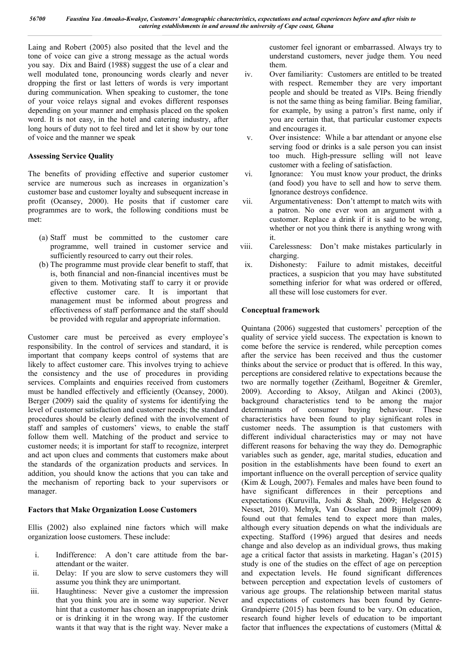Laing and Robert (2005) also posited that the level and the tone of voice can give a strong message as the actual words you say. Dix and Baird (1988) suggest the use of a clear and well modulated tone, pronouncing words clearly and never dropping the first or last letters of words is very important during communication. When speaking to customer, the tone of your voice relays signal and evokes different responses depending on your manner and emphasis placed on the spoken word. It is not easy, in the hotel and catering industry, after long hours of duty not to feel tired and let it show by our tone of voice and the manner we speak

# **Assessing Service Quality**

The benefits of providing effective and superior customer service are numerous such as increases in organization's customer base and customer loyalty and subsequent increase in profit (Ocansey, 2000). He posits that if customer care programmes are to work, the following conditions must be met:

- (a) Staff must be committed to the customer care programme, well trained in customer service and sufficiently resourced to carry out their roles.
- (b) The programme must provide clear benefit to staff, that is, both financial and non-financial incentives must be given to them. Motivating staff to carry it or provide effective customer care. It is important that management must be informed about progress and effectiveness of staff performance and the staff should be provided with regular and appropriate information.

Customer care must be perceived as every employee's responsibility. In the control of services and standard, it is important that company keeps control of systems that are likely to affect customer care. This involves trying to achieve the consistency and the use of procedures in providing services. Complaints and enquiries received from customers must be handled effectively and efficiently (Ocansey, 2000). Berger (2009) said the quality of systems for identifying the level of customer satisfaction and customer needs; the standard procedures should be clearly defined with the involvement of staff and samples of customers' views, to enable the staff follow them well. Matching of the product and service to customer needs; it is important for staff to recognize, interpret and act upon clues and comments that customers make about the standards of the organization products and services. In addition, you should know the actions that you can take and the mechanism of reporting back to your supervisors or manager.

# **Factors that Make Organization Loose Customers**

Ellis (2002) also explained nine factors which will make organization loose customers. These include:

- i. Indifference: A don't care attitude from the barattendant or the waiter.
- ii. Delay: If you are slow to serve customers they will assume you think they are unimportant.
- iii. Haughtiness: Never give a customer the impression that you think you are in some way superior. Never hint that a customer has chosen an inappropriate drink or is drinking it in the wrong way. If the customer wants it that way that is the right way. Never make a

customer feel ignorant or embarrassed. Always try to understand customers, never judge them. You need them.

- iv. Over familiarity: Customers are entitled to be treated with respect. Remember they are very important people and should be treated as VIPs. Being friendly is not the same thing as being familiar. Being familiar, for example, by using a patron's first name, only if you are certain that, that particular customer expects and encourages it.
- v. Over insistence: While a bar attendant or anyone else serving food or drinks is a sale person you can insist too much. High-pressure selling will not leave customer with a feeling of satisfaction.
- vi. Ignorance: You must know your product, the drinks (and food) you have to sell and how to serve them. Ignorance destroys confidence.
- vii. Argumentativeness: Don't attempt to match wits with a patron. No one ever won an argument with a customer. Replace a drink if it is said to be wrong, whether or not you think there is anything wrong with it.
- viii. Carelessness: Don't make mistakes particularly in charging.
- ix. Dishonesty: Failure to admit mistakes, deceitful practices, a suspicion that you may have substituted something inferior for what was ordered or offered, all these will lose customers for ever.

# **Conceptual framework**

Quintana (2006) suggested that customers' perception of the quality of service yield success. The expectation is known to come before the service is rendered, while perception comes after the service has been received and thus the customer thinks about the service or product that is offered. In this way, perceptions are considered relative to expectations because the two are normally together (Zeithaml, Bogeitner & Gremler, 2009). According to Aksoy, Atilgan and Akinci (2003), background characteristics tend to be among the major determinants of consumer buying behaviour. These characteristics have been found to play significant roles in customer needs. The assumption is that customers with different individual characteristics may or may not have different reasons for behaving the way they do. Demographic variables such as gender, age, marital studies, education and position in the establishments have been found to exert an important influence on the overall perception of service quality (Kim & Lough, 2007). Females and males have been found to have significant differences in their perceptions and expectations (Kuruvilla, Joshi & Shah, 2009; Helgesen & Nesset, 2010). Melnyk, Van Osselaer and Bijmolt (2009) found out that females tend to expect more than males, although every situation depends on what the individuals are expecting. Stafford (1996) argued that desires and needs change and also develop as an individual grows, thus making age a critical factor that assists in marketing. Hagan's (2015) study is one of the studies on the effect of age on perception and expectation levels. He found significant differences between perception and expectation levels of customers of various age groups. The relationship between marital status and expectations of customers has been found by Genre-Grandpierre (2015) has been found to be vary. On education, research found higher levels of education to be important factor that influences the expectations of customers (Mittal &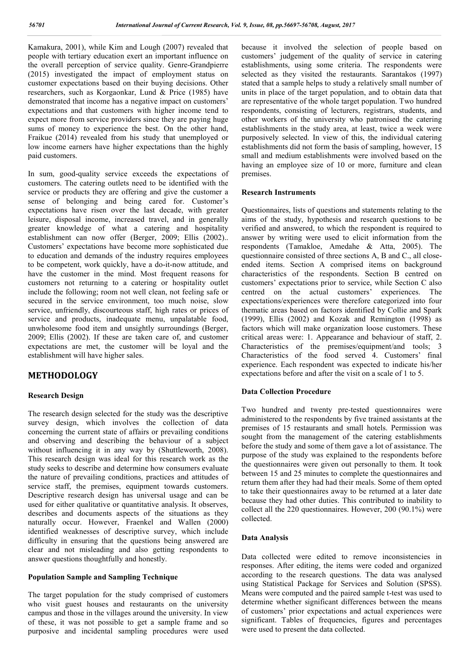Kamakura, 2001), while Kim and Lough (2007) revealed that people with tertiary education exert an important influence on the overall perception of service quality. Genre-Grandpierre (2015) investigated the impact of employment status on customer expectations based on their buying decisions. Other researchers, such as Korgaonkar, Lund & Price (1985) have demonstrated that income has a negative impact on customers' expectations and that customers with higher income tend to expect more from service providers since they are paying huge sums of money to experience the best. On the other hand, Fraikue (2014) revealed from his study that unemployed or low income earners have higher expectations than the highly paid customers.

In sum, good-quality service exceeds the expectations of customers. The catering outlets need to be identified with the service or products they are offering and give the customer a sense of belonging and being cared for. Customer's expectations have risen over the last decade, with greater leisure, disposal income, increased travel, and in generally greater knowledge of what a catering and hospitality establishment can now offer (Berger, 2009; Ellis (2002).. Customers' expectations have become more sophisticated due to education and demands of the industry requires employees to be competent, work quickly, have a do-it-now attitude, and have the customer in the mind. Most frequent reasons for customers not returning to a catering or hospitality outlet include the following; room not well clean, not feeling safe or secured in the service environment, too much noise, slow service, unfriendly, discourteous staff, high rates or prices of service and products, inadequate menu, unpalatable food, unwholesome food item and unsightly surroundings (Berger, 2009; Ellis (2002). If these are taken care of, and customer expectations are met, the customer will be loyal and the establishment will have higher sales.

# **METHODOLOGY**

#### **Research Design**

The research design selected for the study was the descriptive survey design, which involves the collection of data concerning the current state of affairs or prevailing conditions and observing and describing the behaviour of a subject without influencing it in any way by (Shuttleworth, 2008). This research design was ideal for this research work as the study seeks to describe and determine how consumers evaluate the nature of prevailing conditions, practices and attitudes of service staff, the premises, equipment towards customers. Descriptive research design has universal usage and can be used for either qualitative or quantitative analysis. It observes, describes and documents aspects of the situations as they naturally occur. However, Fraenkel and Wallen (2000) identified weaknesses of descriptive survey, which include difficulty in ensuring that the questions being answered are clear and not misleading and also getting respondents to answer questions thoughtfully and honestly.

### **Population Sample and Sampling Technique**

The target population for the study comprised of customers who visit guest houses and restaurants on the university campus and those in the villages around the university. In view of these, it was not possible to get a sample frame and so purposive and incidental sampling procedures were used

because it involved the selection of people based on customers' judgement of the quality of service in catering establishments, using some criteria. The respondents were selected as they visited the restaurants. Sarantakos (1997) stated that a sample helps to study a relatively small number of units in place of the target population, and to obtain data that are representative of the whole target population. Two hundred respondents, consisting of lecturers, registrars, students, and other workers of the university who patronised the catering establishments in the study area, at least, twice a week were purposively selected. In view of this, the individual catering establishments did not form the basis of sampling, however, 15 small and medium establishments were involved based on the having an employee size of 10 or more, furniture and clean premises.

#### **Research Instruments**

Questionnaires, lists of questions and statements relating to the aims of the study, hypothesis and research questions to be verified and answered, to which the respondent is required to answer by writing were used to elicit information from the respondents (Tamakloe, Amedahe & Atta, 2005). The questionnaire consisted of three sections A, B and C., all closeended items. Section A comprised items on background characteristics of the respondents. Section B centred on customers' expectations prior to service, while Section C also centred on the actual customers' experiences. The expectations/experiences were therefore categorized into four thematic areas based on factors identified by Collie and Spark (1999), Ellis (2002) and Kozak and Remington (1998) as factors which will make organization loose customers. These critical areas were: 1. Appearance and behaviour of staff, 2. Characteristics of the premises/equipment/and tools; 3 Characteristics of the food served 4. Customers' final experience. Each respondent was expected to indicate his/her expectations before and after the visit on a scale of 1 to 5.

#### **Data Collection Procedure**

Two hundred and twenty pre-tested questionnaires were administered to the respondents by five trained assistants at the premises of 15 restaurants and small hotels. Permission was sought from the management of the catering establishments before the study and some of them gave a lot of assistance. The purpose of the study was explained to the respondents before the questionnaires were given out personally to them. It took between 15 and 25 minutes to complete the questionnaires and return them after they had had their meals. Some of them opted to take their questionnaires away to be returned at a later date because they had other duties. This contributed to inability to collect all the 220 questionnaires. However, 200 (90.1%) were collected.

#### **Data Analysis**

Data collected were edited to remove inconsistencies in responses. After editing, the items were coded and organized according to the research questions. The data was analysed using Statistical Package for Services and Solution (SPSS). Means were computed and the paired sample t-test was used to determine whether significant differences between the means of customers' prior expectations and actual experiences were significant. Tables of frequencies, figures and percentages were used to present the data collected.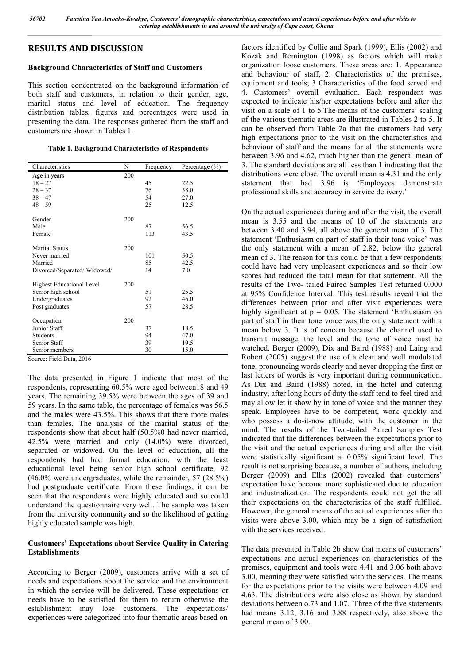# **RESULTS AND DISCUSSION**

# **Background Characteristics of Staff and Customers**

This section concentrated on the background information of both staff and customers, in relation to their gender, age, marital status and level of education. The frequency distribution tables, figures and percentages were used in presenting the data. The responses gathered from the staff and customers are shown in Tables 1.

#### **Table 1. Background Characteristics of Respondents**

| Characteristics             | N   | Frequency | Percentage $(\% )$ |
|-----------------------------|-----|-----------|--------------------|
| Age in years                | 200 |           |                    |
| $18 - 27$                   |     | 45        | 22.5               |
| $28 - 37$                   |     | 76        | 38.0               |
| $38 - 47$                   |     | 54        | 27.0               |
| $48 - 59$                   |     | 25        | 12.5               |
| Gender                      | 200 |           |                    |
| Male                        |     | 87        | 56.5               |
| Female                      |     | 113       | 43.5               |
| <b>Marital Status</b>       | 200 |           |                    |
| Never married               |     | 101       | 50.5               |
| Married                     |     | 85        | 42.5               |
| Divorced/Separated/Widowed/ |     | 14        | 7.0                |
| Highest Educational Level   | 200 |           |                    |
| Senior high school          |     | 51        | 25.5               |
| Undergraduates              |     | 92        | 46.0               |
| Post graduates              |     | 57        | 28.5               |
| Occupation                  | 200 |           |                    |
| Junior Staff                |     | 37        | 18.5               |
| Students                    |     | 94        | 47.0               |
| Senior Staff                |     | 39        | 19.5               |
| Senior members              |     | 30        | 15.0               |

Source: Field Data, 2016

The data presented in Figure 1 indicate that most of the respondents, representing 60.5% were aged between18 and 49 years. The remaining 39.5% were between the ages of 39 and 59 years. In the same table, the percentage of females was 56.5 and the males were 43.5%. This shows that there more males than females. The analysis of the marital status of the respondents show that about half (50.5%0 had never married, 42.5% were married and only (14.0%) were divorced, separated or widowed. On the level of education, all the respondents had had formal education, with the least educational level being senior high school certificate, 92 (46.0% were undergraduates, while the remainder, 57 (28.5%) had postgraduate certificate. From these findings, it can be seen that the respondents were highly educated and so could understand the questionnaire very well. The sample was taken from the university community and so the likelihood of getting highly educated sample was high.

# **Customers' Expectations about Service Quality in Catering Establishments**

According to Berger (2009), customers arrive with a set of needs and expectations about the service and the environment in which the service will be delivered. These expectations or needs have to be satisfied for them to return otherwise the establishment may lose customers. The expectations/ experiences were categorized into four thematic areas based on

factors identified by Collie and Spark (1999), Ellis (2002) and Kozak and Remington (1998) as factors which will make organization loose customers. These areas are: 1. Appearance and behaviour of staff, 2. Characteristics of the premises, equipment and tools; 3 Characteristics of the food served and 4. Customers' overall evaluation. Each respondent was expected to indicate his/her expectations before and after the visit on a scale of 1 to 5.The means of the customers' scaling of the various thematic areas are illustrated in Tables 2 to 5. It can be observed from Table 2a that the customers had very high expectations prior to the visit on the characteristics and behaviour of staff and the means for all the statements were between 3.96 and 4.62, much higher than the general mean of 3. The standard deviations are all less than 1 indicating that the distributions were close. The overall mean is 4.31 and the only statement that had 3.96 is 'Employees demonstrate professional skills and accuracy in service delivery.'

On the actual experiences during and after the visit, the overall mean is 3.55 and the means of 10 of the statements are between 3.40 and 3.94, all above the general mean of 3. The statement 'Enthusiasm on part of staff in their tone voice' was the only statement with a mean of 2.82, below the general mean of 3. The reason for this could be that a few respondents could have had very unpleasant experiences and so their low scores had reduced the total mean for that statement. All the results of the Two- tailed Paired Samples Test returned 0.000 at 95% Confidence Interval. This test results reveal that the differences between prior and after visit experiences were highly significant at  $p = 0.05$ . The statement 'Enthusiasm on part of staff in their tone voice was the only statement with a mean below 3. It is of concern because the channel used to transmit message, the level and the tone of voice must be watched. Berger (2009), Dix and Baird (1988) and Laing and Robert (2005) suggest the use of a clear and well modulated tone, pronouncing words clearly and never dropping the first or last letters of words is very important during communication. As Dix and Baird (1988) noted, in the hotel and catering industry, after long hours of duty the staff tend to feel tired and may allow let it show by in tone of voice and the manner they speak. Employees have to be competent, work quickly and who possess a do-it-now attitude, with the customer in the mind. The results of the Two-tailed Paired Samples Test indicated that the differences between the expectations prior to the visit and the actual experiences during and after the visit were statistically significant at 0.05% significant level. The result is not surprising because, a number of authors, including Berger (2009) and Ellis (2002) revealed that customers' expectation have become more sophisticated due to education and industrialization. The respondents could not get the all their expectations on the characteristics of the staff fulfilled. However, the general means of the actual experiences after the visits were above 3.00, which may be a sign of satisfaction with the services received.

The data presented in Table 2b show that means of customers' expectations and actual experiences on characteristics of the premises, equipment and tools were 4.41 and 3.06 both above 3.00, meaning they were satisfied with the services. The means for the expectations prior to the visits were between 4.09 and 4.63. The distributions were also close as shown by standard deviations between o.73 and 1.07. Three of the five statements had means 3.12, 3.16 and 3.88 respectively, also above the general mean of 3.00.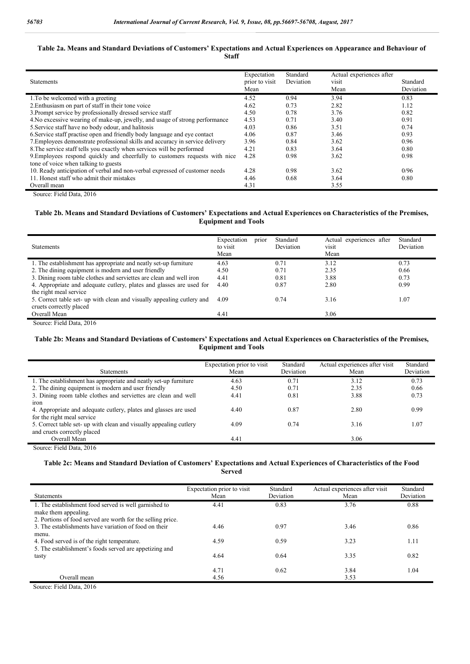#### **Table 2a. Means and Standard Deviations of Customers' Expectations and Actual Experiences on Appearance and Behaviour of Staff**

| <b>Statements</b>                                                             | Expectation<br>prior to visit<br>Mean | Standard<br>Deviation | Actual experiences after<br>visit<br>Mean | Standard<br>Deviation |
|-------------------------------------------------------------------------------|---------------------------------------|-----------------------|-------------------------------------------|-----------------------|
| 1. To be welcomed with a greeting                                             | 4.52                                  | 0.94                  | 3.94                                      | 0.83                  |
| 2. Enthusiasm on part of staff in their tone voice                            | 4.62                                  | 0.73                  | 2.82                                      | 1.12                  |
| 3. Prompt service by professionally dressed service staff                     | 4.50                                  | 0.78                  | 3.76                                      | 0.82                  |
| 4. No excessive wearing of make-up, jewelly, and usage of strong performance  | 4.53                                  | 0.71                  | 3.40                                      | 0.91                  |
| 5. Service staff have no body odour, and halitosis                            | 4.03                                  | 0.86                  | 3.51                                      | 0.74                  |
| 6. Service staff practise open and friendly body language and eye contact     | 4.06                                  | 0.87                  | 3.46                                      | 0.93                  |
| 7. Employees demonstrate professional skills and accuracy in service delivery | 3.96                                  | 0.84                  | 3.62                                      | 0.96                  |
| 8. The service staff tells you exactly when services will be performed        | 4.21                                  | 0.83                  | 3.64                                      | 0.80                  |
| 9. Employees respond quickly and cheerfully to customers requests with nice   | 4.28                                  | 0.98                  | 3.62                                      | 0.98                  |
| tone of voice when talking to guests                                          |                                       |                       |                                           |                       |
| 10. Ready anticipation of verbal and non-verbal expressed of customer needs   | 4.28                                  | 0.98                  | 3.62                                      | 0/96                  |
| 11. Honest staff who admit their mistakes                                     | 4.46                                  | 0.68                  | 3.64                                      | 0.80                  |
| Overall mean                                                                  | 4.31                                  |                       | 3.55                                      |                       |

Source: Field Data, 2016

#### **Table 2b. Means and Standard Deviations of Customers' Expectations and Actual Experiences on Characteristics of the Premises, Equipment and Tools**

| <b>Statements</b>                                                      | Expectation<br>prior<br>to visit<br>Mean | Standard<br>Deviation | Actual experiences after<br>visit<br>Mean | Standard<br><b>Deviation</b> |
|------------------------------------------------------------------------|------------------------------------------|-----------------------|-------------------------------------------|------------------------------|
| 1. The establishment has appropriate and neatly set-up furniture       | 4.63                                     | 0.71                  | 3.12                                      | 0.73                         |
| 2. The dining equipment is modern and user friendly                    | 4.50                                     | 0.71                  | 2.35                                      | 0.66                         |
| 3. Dining room table clothes and servictes are clean and well iron     | 4.41                                     | 0.81                  | 3.88                                      | 0.73                         |
| 4. Appropriate and adequate cutlery, plates and glasses are used for   | 4.40                                     | 0.87                  | 2.80                                      | 0.99                         |
| the right meal service                                                 |                                          |                       |                                           |                              |
| 5. Correct table set- up with clean and visually appealing cutlery and | 4.09                                     | 0.74                  | 3.16                                      | 1.07                         |
| cruets correctly placed                                                |                                          |                       |                                           |                              |
| Overall Mean                                                           | 4.41                                     |                       | 3.06                                      |                              |

Source: Field Data, 2016

#### **Table 2b: Means and Standard Deviations of Customers' Expectations and Actual Experiences on Characteristics of the Premises, Equipment and Tools**

| <b>Statements</b>                                                 | Expectation prior to visit<br>Mean | Standard<br>Deviation | Actual experiences after visit<br>Mean | Standard<br>Deviation |
|-------------------------------------------------------------------|------------------------------------|-----------------------|----------------------------------------|-----------------------|
| 1. The establishment has appropriate and neatly set-up furniture  | 4.63                               | 0.71                  | 3.12                                   | 0.73                  |
| 2. The dining equipment is modern and user friendly               | 4.50                               | 0.71                  | 2.35                                   | 0.66                  |
| 3. Dining room table clothes and serviettes are clean and well    | 4.41                               | 0.81                  | 3.88                                   | 0.73                  |
| iron                                                              |                                    |                       |                                        |                       |
| 4. Appropriate and adequate cutlery, plates and glasses are used  | 4.40                               | 0.87                  | 2.80                                   | 0.99                  |
| for the right meal service                                        |                                    |                       |                                        |                       |
| 5. Correct table set-up with clean and visually appealing cutlery | 4.09                               | 0.74                  | 3.16                                   | 1.07                  |
| and cruets correctly placed                                       |                                    |                       |                                        |                       |
| Overall Mean                                                      | 4.41                               |                       | 3.06                                   |                       |

Source: Field Data, 2016

#### **Table 2c: Means and Standard Deviation of Customers' Expectations and Actual Experiences of Characteristics of the Food Served**

| <b>Statements</b>                                                                                                    | Expectation prior to visit<br>Mean | Standard<br>Deviation | Actual experiences after visit<br>Mean | Standard<br>Deviation |
|----------------------------------------------------------------------------------------------------------------------|------------------------------------|-----------------------|----------------------------------------|-----------------------|
| 1. The establishment food served is well garnished to<br>make them appealing.                                        | 4.41                               | 0.83                  | 3.76                                   | 0.88                  |
| 2. Portions of food served are worth for the selling price.<br>3. The establishments have variation of food on their | 4.46                               | 0.97                  | 3.46                                   | 0.86                  |
| menu.<br>4. Food served is of the right temperature.                                                                 | 4.59                               | 0.59                  | 3.23                                   | 1.11                  |
| 5. The establishment's foods served are appetizing and                                                               |                                    |                       |                                        |                       |
| tasty                                                                                                                | 4.64                               | 0.64                  | 3.35                                   | 0.82                  |
| Overall mean                                                                                                         | 4.71<br>4.56                       | 0.62                  | 3.84<br>3.53                           | 1.04                  |

Source: Field Data, 2016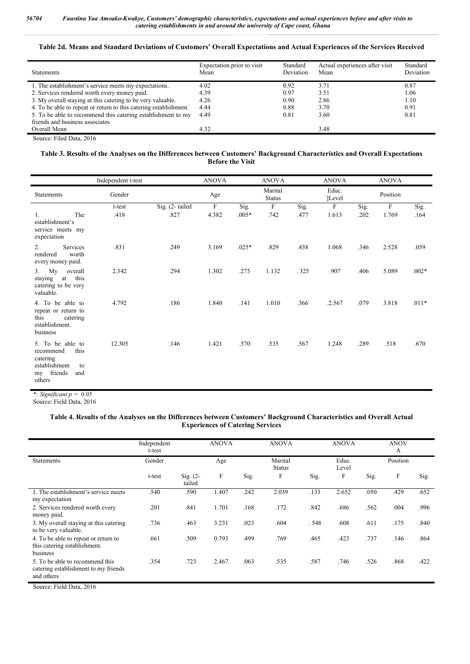# **Table 2d. Means and Standard Deviations of Customers' Overall Expectations and Actual Experiences of the Services Received**

| <b>Statements</b>                                                 | Expectation prior to visit<br>Mean | Standard<br>Deviation | Actual experiences after visit<br>Mean | Standard<br>Deviation |
|-------------------------------------------------------------------|------------------------------------|-----------------------|----------------------------------------|-----------------------|
| 1. The establishment's service meets my expectations.             | 4.02                               | 0.92                  | 3.71                                   | 0.87                  |
| 2. Services rendered worth every money paid.                      | 4.39                               | 0.97                  | 3.51                                   | 1.06                  |
| 3. My overall staying at this catering to be very valuable.       | 4.26                               | 0.90                  | 2.86                                   | 1.10                  |
| 4. To be able to repeat or return to this catering establishment. | 4.44                               | 0.88                  | 3.70                                   | 0.91                  |
| 5. To be able to recommend this catering establishment to my      | 4.49                               | 0.81                  | 3.60                                   | 0.81                  |
| friends and business associates                                   |                                    |                       |                                        |                       |
| Overall Mean                                                      | 4.32                               |                       | 3.48                                   |                       |
| $C_{\text{oucoov}}$ Eilad Data, 2016                              |                                    |                       |                                        |                       |

Source: Filed Data, 2016

#### **Table 3. Results of the Analyses on the Differences between Customers' Background Characteristics and Overall Expectations Before the Visit**

|                                                                                                            | Independent t-test |                | <b>ANOVA</b> |         | <b>ANOVA</b>              |      | <b>ANOVA</b>     |      | <b>ANOVA</b>              |         |
|------------------------------------------------------------------------------------------------------------|--------------------|----------------|--------------|---------|---------------------------|------|------------------|------|---------------------------|---------|
| <b>Statements</b>                                                                                          | Gender             |                | Age          |         | Marital<br><b>Status</b>  |      | Educ.<br>[Level] |      | Position                  |         |
|                                                                                                            | t-test             | Sig. (2-tailed | $\mathbf F$  | Sig.    | $\boldsymbol{\mathrm{F}}$ | Sig. | $\boldsymbol{F}$ | Sig. | $\boldsymbol{\mathrm{F}}$ | Sig.    |
| 1.<br>The<br>establishment's<br>service meets my<br>expectation                                            | .418               | .827           | 4.382        | $.005*$ | .742                      | .477 | 1.613            | .202 | 1.769                     | .164    |
| Services<br>2.<br>worth<br>rendered<br>every money paid.                                                   | .831               | .249           | 3.169        | $.025*$ | .829                      | .438 | 1.068            | .346 | 2.528                     | .059    |
| Mv<br>overall<br>3.<br>this<br>staying<br>at<br>catering to be very<br>valuable.                           | 2.342              | .294           | 1.302        | .275    | 1.132                     | .325 | .907             | .406 | 5.089                     | $.002*$ |
| 4. To be able to<br>repeat or return to<br>this<br>catering<br>establishment.<br>business                  | 4.792              | .186           | 1.840        | .141    | 1.010                     | .366 | .2.567           | .079 | 3.818                     | $.011*$ |
| 5. To be able to<br>this<br>recommend<br>catering<br>establishment<br>to<br>friends<br>and<br>my<br>others | 12.305             | .146           | 1.421        | .570    | .535                      | .567 | 1.248            | .289 | .518                      | .670    |

*\*: Significant p = 0.05* Source: Field Data, 2016

#### **Table 4. Results of the Analyses on the Differences between Customers' Background Characteristics and Overall Actual Experiences of Catering Services**

|                                                                                       | Independent<br>t-test |                      | <b>ANOVA</b> |      | <b>ANOVA</b>              |      | <b>ANOVA</b>   |      | <b>ANOV</b><br>A |      |
|---------------------------------------------------------------------------------------|-----------------------|----------------------|--------------|------|---------------------------|------|----------------|------|------------------|------|
| <b>Statements</b>                                                                     | Gender                |                      | Age          |      | Marital<br><b>Status</b>  |      | Educ.<br>Level |      | Position         |      |
|                                                                                       | t-test                | $Sig. (2-$<br>tailed | $\mathbf F$  | Sig. | $\boldsymbol{\mathrm{F}}$ | Sig. | F              | Sig. | F                | Sig. |
| 1. The establishment's service meets<br>my expectation                                | .540                  | .590                 | 1.407        | .242 | 2.039                     | .133 | 2.652          | .050 | .429             | .652 |
| 2. Services rendered worth every<br>money paid.                                       | .201                  | .841                 | 1.701        | .168 | .172                      | .842 | .686           | .562 | .004             | .996 |
| 3. My overall staying at this catering<br>to be very valuable.                        | .736                  | .463                 | 3.231        | .023 | .604                      | .548 | .608           | .611 | .175             | .840 |
| 4. To be able to repeat or return to<br>this catering establishment.<br>business      | .661                  | .509                 | 0.793        | .499 | .769                      | .465 | .423           | .737 | .146             | .864 |
| 5. To be able to recommend this<br>catering establishment to my friends<br>and others | .354                  | .723                 | 2.467        | .063 | .535                      | .587 | .746           | .526 | .868             | .422 |

Source: Field Data, 2016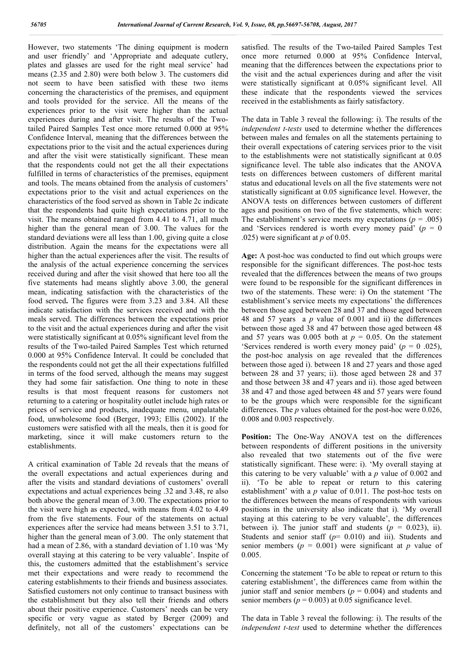However, two statements 'The dining equipment is modern and user friendly' and 'Appropriate and adequate cutlery, plates and glasses are used for the right meal service' had means (2.35 and 2.80) were both below 3. The customers did not seem to have been satisfied with these two items concerning the characteristics of the premises, and equipment and tools provided for the service. All the means of the experiences prior to the visit were higher than the actual experiences during and after visit. The results of the Twotailed Paired Samples Test once more returned 0.000 at 95% Confidence Interval, meaning that the differences between the expectations prior to the visit and the actual experiences during and after the visit were statistically significant. These mean that the respondents could not get the all their expectations fulfilled in terms of characteristics of the premises, equipment and tools. The means obtained from the analysis of customers' expectations prior to the visit and actual experiences on the characteristics of the food served as shown in Table 2c indicate that the respondents had quite high expectations prior to the visit. The means obtained ranged from 4.41 to 4.71, all much higher than the general mean of 3.00. The values for the standard deviations were all less than 1.00, giving quite a close distribution. Again the means for the expectations were all higher than the actual experiences after the visit. The results of the analysis of the actual experience concerning the services received during and after the visit showed that here too all the five statements had means slightly above 3.00, the general mean, indicating satisfaction with the characteristics of the food served**.** The figures were from 3.23 and 3.84. All these indicate satisfaction with the services received and with the meals served. The differences between the expectations prior to the visit and the actual experiences during and after the visit were statistically significant at 0.05% significant level from the results of the Two-tailed Paired Samples Test which returned 0.000 at 95% Confidence Interval. It could be concluded that the respondents could not get the all their expectations fulfilled in terms of the food served, although the means may suggest they had some fair satisfaction. One thing to note in these results is that most frequent reasons for customers not returning to a catering or hospitality outlet include high rates or prices of service and products, inadequate menu, unpalatable food, unwholesome food (Berger, 1993; Ellis (2002). If the customers were satisfied with all the meals, then it is good for marketing, since it will make customers return to the establishments.

A critical examination of Table 2d reveals that the means of the overall expectations and actual experiences during and after the visits and standard deviations of customers' overall expectations and actual experiences being .32 and 3.48, re also both above the general mean of 3.00. The expectations prior to the visit were high as expected, with means from 4.02 to 4.49 from the five statements. Four of the statements on actual experiences after the service had means between 3.51 to 3.71, higher than the general mean of 3.00. The only statement that had a mean of 2.86, with a standard deviation of 1.10 was 'My overall staying at this catering to be very valuable'. Inspite of this, the customers admitted that the establishment's service met their expectations and were ready to recommend the catering establishments to their friends and business associates. Satisfied customers not only continue to transact business with the establishment but they also tell their friends and others about their positive experience. Customers' needs can be very specific or very vague as stated by Berger (2009) and definitely, not all of the customers' expectations can be

satisfied. The results of the Two-tailed Paired Samples Test once more returned 0.000 at 95% Confidence Interval, meaning that the differences between the expectations prior to the visit and the actual experiences during and after the visit were statistically significant at 0.05% significant level. All these indicate that the respondents viewed the services received in the establishments as fairly satisfactory.

The data in Table 3 reveal the following: i). The results of the *independent t-tests* used to determine whether the differences between males and females on all the statements pertaining to their overall expectations of catering services prior to the visit to the establishments were not statistically significant at 0.05 significance level. The table also indicates that the ANOVA tests on differences between customers of different marital status and educational levels on all the five statements were not statistically significant at 0.05 significance level. However, the ANOVA tests on differences between customers of different ages and positions on two of the five statements, which were: The establishment's service meets my expectations ( $p = .005$ ) and 'Services rendered is worth every money paid'  $(p = 0)$ .025) were significant at *p* of 0.05.

**Age:** A post-hoc was conducted to find out which groups were responsible for the significant differences. The post-hoc tests revealed that the differences between the means of two groups were found to be responsible for the significant differences in two of the statements. These were: i) On the statement 'The establishment's service meets my expectations' the differences between those aged between 28 and 37 and those aged between 48 and 57 years a *p* value of 0.001 and ii) the differences between those aged 38 and 47 between those aged between 48 and 57 years was 0.005 both at  $p = 0.05$ . On the statement 'Services rendered is worth every money paid' (*p* = 0 .025), the post-hoc analysis on age revealed that the differences between those aged i). between 18 and 27 years and those aged between 28 and 37 years; ii). those aged between 28 and 37 and those between 38 and 47 years and ii). those aged between 38 and 47 and those aged between 48 and 57 years were found to be the groups which were responsible for the significant differences. The *p* values obtained for the post-hoc were 0.026, 0.008 and 0.003 respectively.

**Position:** The One-Way ANOVA test on the differences between respondents of different positions in the university also revealed that two statements out of the five were statistically significant. These were: i). 'My overall staying at this catering to be very valuable' with a *p* value of 0.002 and ii). 'To be able to repeat or return to this catering establishment' with a *p* value of 0.011. The post-hoc tests on the differences between the means of respondents with various positions in the university also indicate that i). 'My overall staying at this catering to be very valuable', the differences between i). The junior staff and students  $(p = 0.023)$ , ii). Students and senior staff  $(p= 0.010)$  and iii). Students and senior members ( $p = 0.001$ ) were significant at  $p$  value of 0.005.

Concerning the statement 'To be able to repeat or return to this catering establishment', the differences came from within the junior staff and senior members ( $p = 0.004$ ) and students and senior members ( $p = 0.003$ ) at 0.05 significance level.

The data in Table 3 reveal the following: i). The results of the *independent t-test* used to determine whether the differences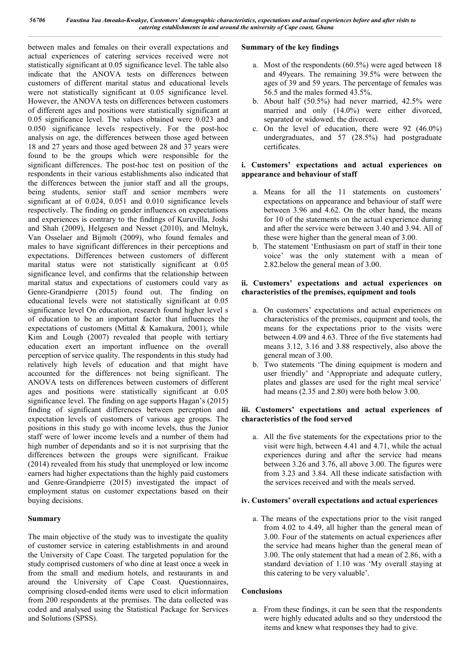between males and females on their overall expectations and actual experiences of catering services received were not statistically significant at 0.05 significance level. The table also indicate that the ANOVA tests on differences between customers of different marital status and educational levels were not statistically significant at 0.05 significance level. However, the ANOVA tests on differences between customers of different ages and positions were statistically significant at 0.05 significance level. The values obtained were 0.023 and 0.050 significance levels respectively. For the post-hoc analysis on age, the differences between those aged between 18 and 27 years and those aged between 28 and 37 years were found to be the groups which were responsible for the significant differences. The post-hoc test on position of the respondents in their various establishments also indicated that the differences between the junior staff and all the groups, being students, senior staff and senior members were significant at of 0.024, 0.051 and 0.010 significance levels respectively. The finding on gender influences on expectations and experiences is contrary to the findings of Kuruvilla, Joshi and Shah (2009), Helgesen and Nesset (2010), and Melnyk, Van Osselaer and Bijmolt (2009), who found females and males to have significant differences in their perceptions and expectations. Differences between customers of different marital status were not statistically significant at 0.05 significance level, and confirms that the relationship between marital status and expectations of customers could vary as Genre-Grandpierre (2015) found out. The finding on educational levels were not statistically significant at 0.05 significance level On education, research found higher level s of education to be an important factor that influences the expectations of customers (Mittal & Kamakura, 2001), while Kim and Lough (2007) revealed that people with tertiary education exert an important influence on the overall perception of service quality. The respondents in this study had relatively high levels of education and that might have accounted for the differences not being significant. The ANOVA tests on differences between customers of different ages and positions were statistically significant at 0.05 significance level. The finding on age supports Hagan's (2015) finding of significant differences between perception and expectation levels of customers of various age groups. The positions in this study go with income levels, thus the Junior staff were of lower income levels and a number of them had high number of dependants and so it is not surprising that the differences between the groups were significant. Fraikue (2014) revealed from his study that unemployed or low income earners had higher expectations than the highly paid customers and Genre-Grandpierre (2015) investigated the impact of employment status on customer expectations based on their buying decisions.

# **Summary**

The main objective of the study was to investigate the quality of customer service in catering establishments in and around the University of Cape Coast. The targeted population for the study comprised customers of who dine at least once a week in from the small and medium hotels, and restaurants in and around the University of Cape Coast. Questionnaires, comprising closed-ended items were used to elicit information from 200 respondents at the premises. The data collected was coded and analysed using the Statistical Package for Services and Solutions (SPSS).

# **Summary of the key findings**

- a. Most of the respondents (60.5%) were aged between 18 and 49years. The remaining 39.5% were between the ages of 39 and 59 years. The percentage of females was 56.5 and the males formed 43.5%.
- b. About half (50.5%) had never married, 42.5% were married and only  $(14.0\%)$  were either divorced, separated or widowed. the divorced.
- c. On the level of education, there were 92 (46.0%) undergraduates, and 57 (28.5%) had postgraduate certificates.

# **i. Customers' expectations and actual experiences on appearance and behaviour of staff**

- a. Means for all the 11 statements on customers' expectations on appearance and behaviour of staff were between 3.96 and 4.62. On the other hand, the means for 10 of the statements on the actual experience during and after the service were between 3.40 and 3.94. All of these were higher than the general mean of 3.00.
- b. The statement 'Enthusiasm on part of staff in their tone voice' was the only statement with a mean of 2.82.below the general mean of 3.00.

# **ii. Customers' expectations and actual experiences on characteristics of the premises, equipment and tools**

- a. On customers' expectations and actual experiences on characteristics of the premises, equipment and tools, the means for the expectations prior to the visits were between 4.09 and 4.63. Three of the five statements had means 3.12, 3.16 and 3.88 respectively, also above the general mean of 3.00.
- b. Two statements 'The dining equipment is modern and user friendly' and 'Appropriate and adequate cutlery, plates and glasses are used for the right meal service' had means (2.35 and 2.80) were both below 3.00.

# **iii. Customers' expectations and actual experiences of characteristics of the food served**

a. All the five statements for the expectations prior to the visit were high, between 4.41 and 4.71, while the actual experiences during and after the service had means between 3.26 and 3.76, all above 3.00. The figures were from 3.23 and 3.84. All these indicate satisfaction with the services received and with the meals served.

# **iv. Customers' overall expectations and actual experiences**

a. The means of the expectations prior to the visit ranged from 4.02 to 4.49, all higher than the general mean of 3.00. Four of the statements on actual experiences after the service had means higher than the general mean of 3.00. The only statement that had a mean of 2.86, with a standard deviation of 1.10 was 'My overall staying at this catering to be very valuable'.

# **Conclusions**

a. From these findings, it can be seen that the respondents were highly educated adults and so they understood the items and knew what responses they had to give.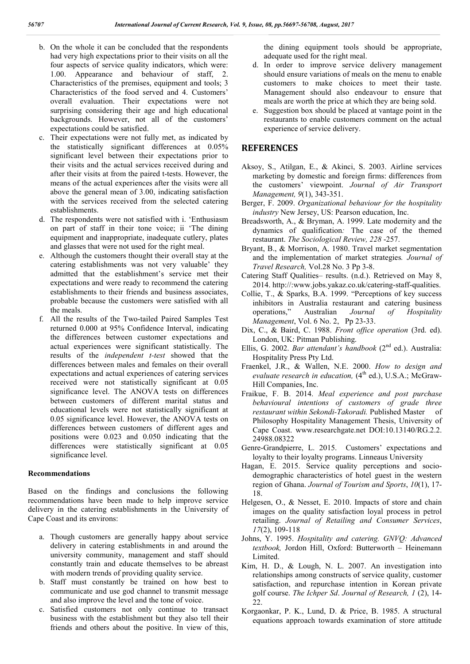- b. On the whole it can be concluded that the respondents had very high expectations prior to their visits on all the four aspects of service quality indicators, which were: 1.00. Appearance and behaviour of staff, 2. Characteristics of the premises, equipment and tools; 3 Characteristics of the food served and 4. Customers' overall evaluation. Their expectations were not surprising considering their age and high educational backgrounds. However, not all of the customers' expectations could be satisfied.
- c. Their expectations were not fully met, as indicated by the statistically significant differences at 0.05% significant level between their expectations prior to their visits and the actual services received during and after their visits at from the paired t-tests. However, the means of the actual experiences after the visits were all above the general mean of 3.00, indicating satisfaction with the services received from the selected catering establishments.
- d. The respondents were not satisfied with i. 'Enthusiasm on part of staff in their tone voice; ii 'The dining equipment and inappropriate, inadequate cutlery, plates and glasses that were not used for the right meal.
- e. Although the customers thought their overall stay at the catering establishments was not very valuable' they admitted that the establishment's service met their expectations and were ready to recommend the catering establishments to their friends and business associates, probable because the customers were satisfied with all the meals.
- f. All the results of the Two-tailed Paired Samples Test returned 0.000 at 95% Confidence Interval, indicating the differences between customer expectations and actual experiences were significant statistically. The results of the *independent t-test* showed that the differences between males and females on their overall expectations and actual experiences of catering services received were not statistically significant at 0.05 significance level. The ANOVA tests on differences between customers of different marital status and educational levels were not statistically significant at 0.05 significance level. However, the ANOVA tests on differences between customers of different ages and positions were 0.023 and 0.050 indicating that the differences were statistically significant at  $0.05$ significance level.

#### **Recommendations**

Based on the findings and conclusions the following recommendations have been made to help improve service delivery in the catering establishments in the University of Cape Coast and its environs:

- a. Though customers are generally happy about service delivery in catering establishments in and around the university community, management and staff should constantly train and educate themselves to be abreast with modern trends of providing quality service.
- b. Staff must constantly be trained on how best to communicate and use god channel to transmit message and also improve the level and the tone of voice.
- c. Satisfied customers not only continue to transact business with the establishment but they also tell their friends and others about the positive. In view of this,

the dining equipment tools should be appropriate, adequate used for the right meal.

- d. In order to improve service delivery management should ensure variations of meals on the menu to enable customers to make choices to meet their taste. Management should also endeavour to ensure that meals are worth the price at which they are being sold.
- e. Suggestion box should be placed at vantage point in the restaurants to enable customers comment on the actual experience of service delivery.

# **REFERENCES**

- Aksoy, S., Atilgan, E., & Akinci, S. 2003. Airline services marketing by domestic and foreign firms: differences from the customers' viewpoint. *Journal of Air Transport Management, 9*(1), 343-351.
- Berger, F. 2009. *Organizational behaviour for the hospitality industry* New Jersey, US: Pearson education, Inc.
- Breadsworth, A., & Bryman, A. 1999. Late modernity and the dynamics of qualification*:* The case of the themed restaurant. *The Sociological Review, 228* -257.
- Bryant, B., & Morrison, A. 1980. Travel market segmentation and the implementation of market strategies*. Journal of Travel Research,* Vol.28 No. 3 Pp 3-8.
- Catering Staff Qualities– results. (n.d.). Retrieved on May 8, 2014. http://:www.jobs.yakaz.co.uk/catering-staff-qualities.
- Collie, T., & Sparks, B.A. 1999. "Perceptions of key success inhibitors in Australia restaurant and catering business operations," Australian *Journal of Hospitality Management*, Vol. 6 No. 2, Pp 23-33.
- Dix, C., & Baird, C. 1988. *Front office operation* (3rd. ed). London, UK: Pitman Publishing.
- Ellis, G. 2002. *Bar attendant's handbook* (2nd ed.). Australia: Hospitality Press Pty Ltd.
- Fraenkel, J.R., & Wallen, N.E. 2000. *How to design and evaluate research in education,* (4<sup>th</sup> ed.), U.S.A.; McGraw-Hill Companies, Inc.
- Fraikue, F. B. 2014. *Meal experience and post purchase behavioural intentions of customers of grade three restaurant within Sekondi-Takoradi.* Published Master of Philosophy Hospitality Management Thesis, University of Cape Coast. www.researchgate.net DOI:10.13140/RG.2.2. 24988.08322
- Genre-Grandpierre, L. 2015. Customers' expectations and loyalty to their loyalty programs. Linneaus University
- Hagan, E. 2015. Service quality perceptions and sociodemographic characteristics of hotel guest in the western region of Ghana. *Journal of Tourism and Sports*, *10*(1), 17- 18.
- Helgesen, O., & Nesset, E. 2010. Impacts of store and chain images on the quality satisfaction loyal process in petrol retailing. *Journal of Retailing and Consumer Services*, *17*(2), 109-118
- Johns, Y. 1995. *Hospitality and catering. GNVQ: Advanced textbook,* Jordon Hill, Oxford: Butterworth – Heinemann Limited.
- Kim, H. D., & Lough, N. L. 2007. An investigation into relationships among constructs of service quality, customer satisfaction, and repurchase intention in Korean private golf course. *The Ichper Sd*. *Journal of Research, 1* (2), 14- 22.
- Korgaonkar, P. K., Lund, D. & Price, B. 1985. A structural equations approach towards examination of store attitude